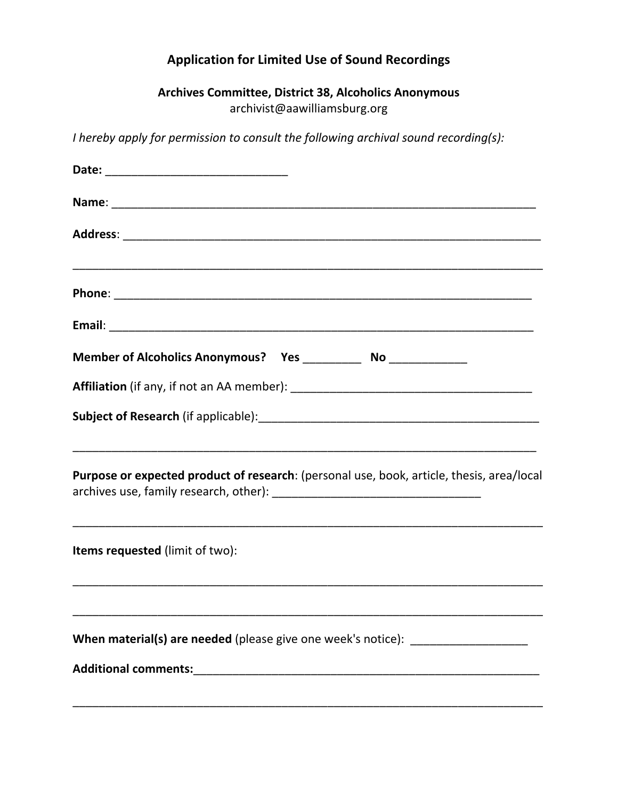# **Application for Limited Use of Sound Recordings**

# **Archives Committee, District 38, Alcoholics Anonymous**  archivist@aawilliamsburg.org

*I hereby apply for permission to consult the following archival sound recording(s):*

| Purpose or expected product of research: (personal use, book, article, thesis, area/local |
|-------------------------------------------------------------------------------------------|
| Items requested (limit of two):                                                           |
| When material(s) are needed (please give one week's notice): ___________________          |
|                                                                                           |